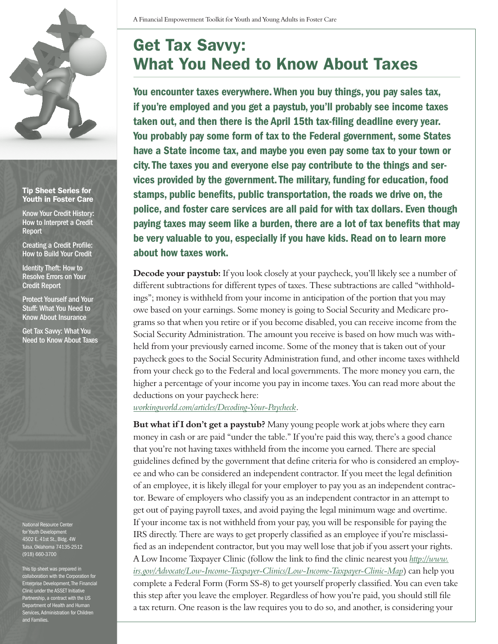

Tip Sheet Series for Youth in Foster Care

Know Your Credit History: How to Interpret a Credit Report

Creating a Credit Profile: How to Build Your Credit

Identity Theft: How to Resolve Errors on Your Credit Report

Protect Yourself and Your Stuff: What You Need to Know About Insurance

Get Tax Savvy: What You Need to Know About Taxes

National Resource Center for Youth Development 4502 E. 41st St., Bldg. 4W Tulsa, Oklahoma 74135-2512 (918) 660-3700

This tip sheet was prepared in collaboration with the Corporation for Enterprise Development, The Financial Clinic under the ASSET Initiative Partnership, a contract with the US Department of Health and Human Services, Administration for Children and Families.

# Get Tax Savvy: What You Need to Know About Taxes

You encounter taxes everywhere. When you buy things, you pay sales tax, if you're employed and you get a paystub, you'll probably see income taxes taken out, and then there is the April 15th tax-filing deadline every year. You probably pay some form of tax to the Federal government, some States have a State income tax, and maybe you even pay some tax to your town or city. The taxes you and everyone else pay contribute to the things and services provided by the government. The military, funding for education, food stamps, public benefits, public transportation, the roads we drive on, the police, and foster care services are all paid for with tax dollars. Even though paying taxes may seem like a burden, there are a lot of tax benefits that may be very valuable to you, especially if you have kids. Read on to learn more about how taxes work.

**Decode your paystub:** If you look closely at your paycheck, you'll likely see a number of different subtractions for different types of taxes. These subtractions are called "withholdings"; money is withheld from your income in anticipation of the portion that you may owe based on your earnings. Some money is going to Social Security and Medicare programs so that when you retire or if you become disabled, you can receive income from the Social Security Administration. The amount you receive is based on how much was withheld from your previously earned income. Some of the money that is taken out of your paycheck goes to the Social Security Administration fund, and other income taxes withheld from your check go to the Federal and local governments. The more money you earn, the higher a percentage of your income you pay in income taxes. You can read more about the deductions on your paycheck here:

*[workingworld.com/articles/Decoding-Your-Paycheck](http://workingworld.com/articles/Decoding-Your-Paycheck)*.

**But what if I don't get a paystub?** Many young people work at jobs where they earn money in cash or are paid "under the table." If you're paid this way, there's a good chance that you're not having taxes withheld from the income you earned. There are special guidelines defined by the government that define criteria for who is considered an employee and who can be considered an independent contractor. If you meet the legal definition of an employee, it is likely illegal for your employer to pay you as an independent contractor. Beware of employers who classify you as an independent contractor in an attempt to get out of paying payroll taxes, and avoid paying the legal minimum wage and overtime. If your income tax is not withheld from your pay, you will be responsible for paying the IRS directly. There are ways to get properly classified as an employee if you're misclassified as an independent contractor, but you may well lose that job if you assert your rights. [A Low Income Taxpayer Clinic \(follow the link to find the clinic nearest you](http://www.irs.gov/Advocate/Low-Income-Taxpayer-Clinics/Low-Income-Taxpayer-Clinic-Map) *http://www. irs.gov/Advocate/Low-Income-Taxpayer-Clinics/Low-Income-Taxpayer-Clinic-Map*) can help you complete a Federal Form (Form SS-8) to get yourself properly classified. You can even take this step after you leave the employer. Regardless of how you're paid, you should still file a tax return. One reason is the law requires you to do so, and another, is considering your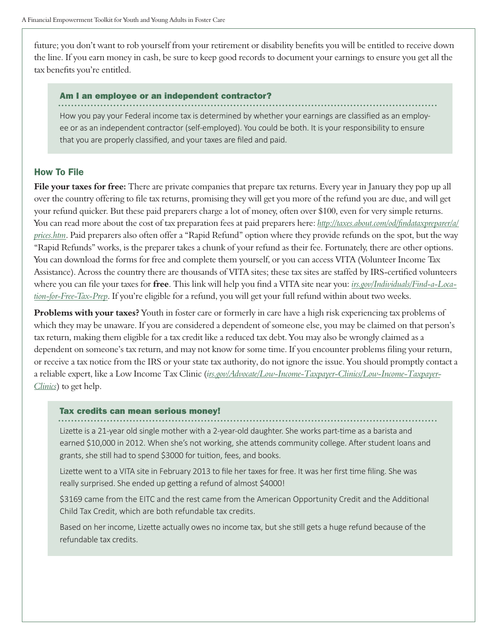future; you don't want to rob yourself from your retirement or disability benefits you will be entitled to receive down the line. If you earn money in cash, be sure to keep good records to document your earnings to ensure you get all the tax benefits you're entitled.

### Am I an employee or an independent contractor?

How you pay your Federal income tax is determined by whether your earnings are classified as an employee or as an independent contractor (self-employed). You could be both. It is your responsibility to ensure that you are properly classified, and your taxes are filed and paid.

## How To File

**File your taxes for free:** There are private companies that prepare tax returns. Every year in January they pop up all over the country offering to file tax returns, promising they will get you more of the refund you are due, and will get your refund quicker. But these paid preparers charge a lot of money, often over \$100, even for very simple returns. You can read more about the cost of tax preparation fees at paid preparers here: *http://taxes.about.com/od/findataxpreparer/a/ prices.htm*[. Paid preparers also often offer a "Rapid Refund" option where they provide refunds on the spot, but the way](http://taxes.about.com/od/findataxpreparer/a/prices.htm)  "Rapid Refunds" works, is the preparer takes a chunk of your refund as their fee. Fortunately, there are other options. You can download the forms for free and complete them yourself, or you can access VITA (Volunteer Income Tax Assistance). Across the country there are thousands of VITA sites; these tax sites are staffed by IRS-certified volunteers where you can file your taxes for **free**. This link will help you find a VITA site near you: *irs.gov/Individuals/Find-a-Location-for-Free-Tax-Prep*[. If you're eligible for a refund, you will get your full refund within about two weeks.](http://irs.gov/Individuals/Find-a-Location-for-Free-Tax-Prep)

**Problems with your taxes?** Youth in foster care or formerly in care have a high risk experiencing tax problems of which they may be unaware. If you are considered a dependent of someone else, you may be claimed on that person's tax return, making them eligible for a tax credit like a reduced tax debt. You may also be wrongly claimed as a dependent on someone's tax return, and may not know for some time. If you encounter problems filing your return, or receive a tax notice from the IRS or your state tax authority, do not ignore the issue. You should promptly contact a a reliable expert, like a Low Income Tax Clinic (*irs.gov/Advocate[/Low-Income-Taxpayer-Clinics](http://irs.gov/Advocate/Low-Income-Taxpayer-Clinics/Low-Income-Taxpayer-Clinics)/Low-Income-Taxpayer-Clinics*) to get help.

### Tax credits can mean serious money!

Lizette is a 21-year old single mother with a 2-year-old daughter. She works part-time as a barista and earned \$10,000 in 2012. When she's not working, she attends community college. After student loans and grants, she still had to spend \$3000 for tuition, fees, and books.

Lizette went to a VITA site in February 2013 to file her taxes for free. It was her first time filing. She was really surprised. She ended up getting a refund of almost \$4000!

\$3169 came from the EITC and the rest came from the American Opportunity Credit and the Additional Child Tax Credit, which are both refundable tax credits.

Based on her income, Lizette actually owes no income tax, but she still gets a huge refund because of the refundable tax credits.